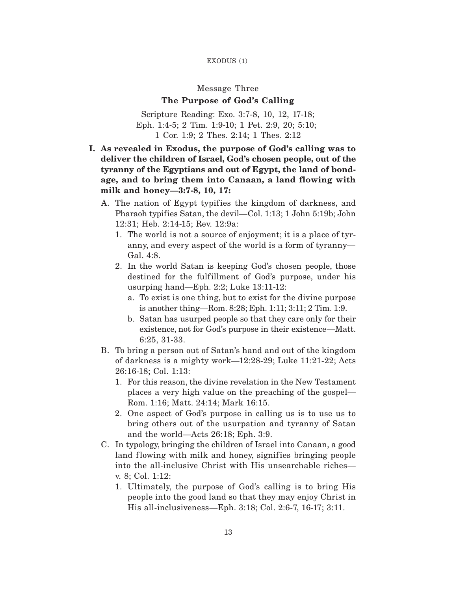# EXODUS (1)

# Message Three

# **The Purpose of God's Calling**

Scripture Reading: Exo. 3:7-8, 10, 12, 17-18; Eph. 1:4-5; 2 Tim. 1:9-10; 1 Pet. 2:9, 20; 5:10; 1 Cor. 1:9; 2 Thes. 2:14; 1 Thes. 2:12

- **I. As revealed in Exodus, the purpose of God's calling was to deliver the children of Israel, God's chosen people, out of the tyranny of the Egyptians and out of Egypt, the land of bondage, and to bring them into Canaan, a land flowing with milk and honey—3:7-8, 10, 17:**
	- A. The nation of Egypt typifies the kingdom of darkness, and Pharaoh typif ies Satan, the devil—Col. 1:13; 1 John 5:19b; John 12:31; Heb. 2:14-15; Rev. 12:9a:
		- 1. The world is not a source of enjoyment; it is a place of tyranny, and every aspect of the world is a form of tyranny— Gal. 4:8.
		- 2. In the world Satan is keeping God's chosen people, those destined for the fulfillment of God's purpose, under his usurping hand—Eph. 2:2; Luke 13:11-12:
			- a. To exist is one thing, but to exist for the divine purpose is another thing—Rom. 8:28; Eph. 1:11; 3:11; 2 Tim. 1:9.
			- b. Satan has usurped people so that they care only for their existence, not for God's purpose in their existence—Matt. 6:25, 31-33.
	- B. To bring a person out of Satan's hand and out of the kingdom of darkness is a mighty work—12:28-29; Luke 11:21-22; Acts 26:16-18; Col. 1:13:
		- 1. For this reason, the divine revelation in the New Testament places a very high value on the preaching of the gospel— Rom. 1:16; Matt. 24:14; Mark 16:15.
		- 2. One aspect of God's purpose in calling us is to use us to bring others out of the usurpation and tyranny of Satan and the world—Acts 26:18; Eph. 3:9.
	- C. In typology, bringing the children of Israel into Canaan, a good land flowing with milk and honey, signifies bringing people into the all-inclusive Christ with His unsearchable riches v. 8; Col. 1:12:
		- 1. Ultimately, the purpose of God's calling is to bring His people into the good land so that they may enjoy Christ in His all-inclusiveness—Eph. 3:18; Col. 2:6-7, 16-17; 3:11.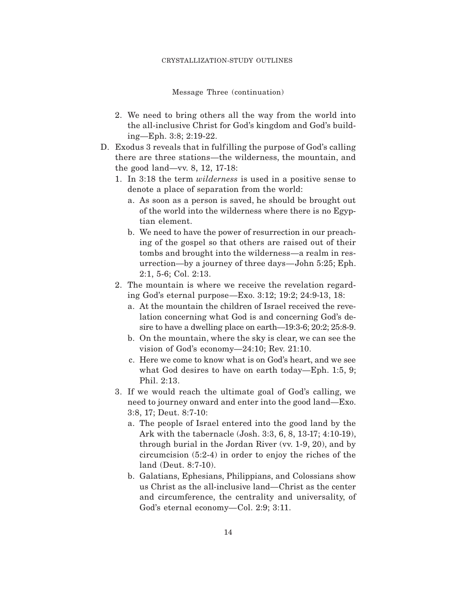#### CRYSTALLIZATION-STUDY OUTLINES

Message Three (continuation)

- 2. We need to bring others all the way from the world into the all-inclusive Christ for God's kingdom and God's building—Eph. 3:8; 2:19-22.
- D. Exodus 3 reveals that in fulfilling the purpose of God's calling there are three stations—the wilderness, the mountain, and the good land—vv. 8, 12, 17-18:
	- 1. In 3:18 the term *wilderness* is used in a positive sense to denote a place of separation from the world:
		- a. As soon as a person is saved, he should be brought out of the world into the wilderness where there is no Egyptian element.
		- b. We need to have the power of resurrection in our preaching of the gospel so that others are raised out of their tombs and brought into the wilderness—a realm in resurrection—by a journey of three days—John 5:25; Eph. 2:1, 5-6; Col. 2:13.
	- 2. The mountain is where we receive the revelation regarding God's eternal purpose—Exo. 3:12; 19:2; 24:9-13, 18:
		- a. At the mountain the children of Israel received the revelation concerning what God is and concerning God's desire to have a dwelling place on earth—19:3-6; 20:2; 25:8-9.
		- b. On the mountain, where the sky is clear, we can see the vision of God's economy—24:10; Rev. 21:10.
		- c. Here we come to know what is on God's heart, and we see what God desires to have on earth today—Eph. 1:5, 9; Phil. 2:13.
	- 3. If we would reach the ultimate goal of God's calling, we need to journey onward and enter into the good land—Exo. 3:8, 17; Deut. 8:7-10:
		- a. The people of Israel entered into the good land by the Ark with the tabernacle (Josh. 3:3, 6, 8, 13-17; 4:10-19), through burial in the Jordan River (vv. 1-9, 20), and by circumcision (5:2-4) in order to enjoy the riches of the land (Deut. 8:7-10).
		- b. Galatians, Ephesians, Philippians, and Colossians show us Christ as the all-inclusive land—Christ as the center and circumference, the centrality and universality, of God's eternal economy—Col. 2:9; 3:11.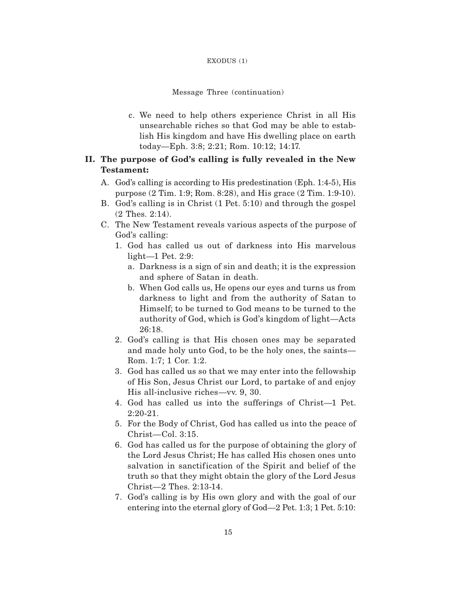### EXODUS (1)

# Message Three (continuation)

c. We need to help others experience Christ in all His unsearchable riches so that God may be able to establish His kingdom and have His dwelling place on earth today—Eph. 3:8; 2:21; Rom. 10:12; 14:17.

# **II. The purpose of God's calling is fully revealed in the New Testament:**

- A. God's calling is according to His predestination (Eph. 1:4-5), His purpose (2 Tim. 1:9; Rom. 8:28), and His grace (2 Tim. 1:9-10).
- B. God's calling is in Christ (1 Pet. 5:10) and through the gospel (2 Thes. 2:14).
- C. The New Testament reveals various aspects of the purpose of God's calling:
	- 1. God has called us out of darkness into His marvelous light—1 Pet. 2:9:
		- a. Darkness is a sign of sin and death; it is the expression and sphere of Satan in death.
		- b. When God calls us, He opens our eyes and turns us from darkness to light and from the authority of Satan to Himself; to be turned to God means to be turned to the authority of God, which is God's kingdom of light—Acts 26:18.
	- 2. God's calling is that His chosen ones may be separated and made holy unto God, to be the holy ones, the saints— Rom. 1:7; 1 Cor. 1:2.
	- 3. God has called us so that we may enter into the fellowship of His Son, Jesus Christ our Lord, to partake of and enjoy His all-inclusive riches—vv. 9, 30.
	- 4. God has called us into the sufferings of Christ—1 Pet. 2:20-21.
	- 5. For the Body of Christ, God has called us into the peace of Christ—Col. 3:15.
	- 6. God has called us for the purpose of obtaining the glory of the Lord Jesus Christ; He has called His chosen ones unto salvation in sanctification of the Spirit and belief of the truth so that they might obtain the glory of the Lord Jesus Christ—2 Thes. 2:13-14.
	- 7. God's calling is by His own glory and with the goal of our entering into the eternal glory of God—2 Pet. 1:3; 1 Pet. 5:10: